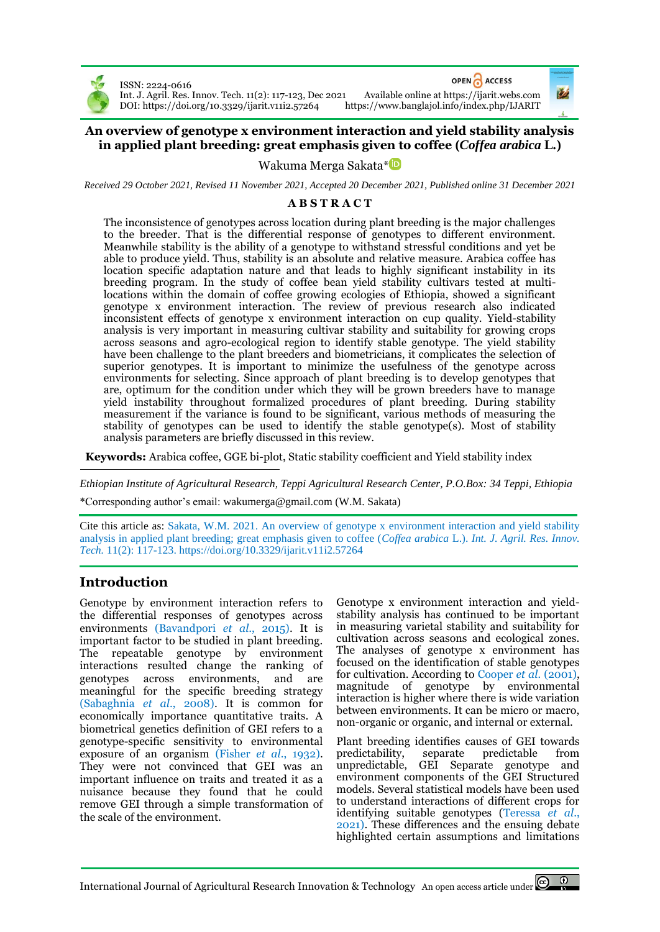

ISSN: 2224-0616 DOI[: https://doi.org/10.3329/ijarit.v11i2.57264](https://doi.org/10.3329/ijarit.v11i2.57264) OPEN ACCESS

Int. J. Agril. Res. Innov. Tech. 11(2): 117-123, Dec 2021 Available online a[t https://ijarit.webs.com](http://ijarit.webs.com/)

## **An overview of genotype x environment interaction and yield stability analysis in applied plant breeding: great emphasis given to coffee (***Coffea arabica* **L***.***)**

Wakuma Merga Sakata[\\*](https://orcid.org/0000-0002-9383-7090)

*Received 29 October 2021, Revised 11 November 2021, Accepted 20 December 2021, Published online 31 December 2021*

## **A B S T R A C T**

The inconsistence of genotypes across location during plant breeding is the major challenges to the breeder. That is the differential response of genotypes to different environment. Meanwhile stability is the ability of a genotype to withstand stressful conditions and yet be able to produce yield. Thus, stability is an absolute and relative measure. Arabica coffee has location specific adaptation nature and that leads to highly significant instability in its breeding program. In the study of coffee bean yield stability cultivars tested at multilocations within the domain of coffee growing ecologies of Ethiopia, showed a significant genotype x environment interaction. The review of previous research also indicated inconsistent effects of genotype x environment interaction on cup quality. Yield-stability analysis is very important in measuring cultivar stability and suitability for growing crops across seasons and agro-ecological region to identify stable genotype. The yield stability have been challenge to the plant breeders and biometricians, it complicates the selection of superior genotypes. It is important to minimize the usefulness of the genotype across environments for selecting. Since approach of plant breeding is to develop genotypes that are, optimum for the condition under which they will be grown breeders have to manage yield instability throughout formalized procedures of plant breeding. During stability measurement if the variance is found to be significant, various methods of measuring the stability of genotypes can be used to identify the stable genotype(s). Most of stability analysis parameters are briefly discussed in this review.

**Keywords:** Arabica coffee, GGE bi-plot, Static stability coefficient and Yield stability index

*Ethiopian Institute of Agricultural Research, Teppi Agricultural Research Center, P.O.Box: 34 Teppi, Ethiopia*

\*Corresponding author's email: wakumerga@gmail.com (W.M. Sakata)

Cite this article as: Sakata, W.M. 2021. An overview of genotype x environment interaction and yield stability analysis in applied plant breeding; great emphasis given to coffee (*Coffea arabica* L.). *Int. J. Agril. Res. Innov. Tech.* 11(2): 117-123. <https://doi.org/10.3329/ijarit.v11i2.57264>

# **Introduction**

Genotype by environment interaction refers to the differential responses of genotypes across environments (Bavandpori *et al*., 2015). It is important factor to be studied in plant breeding. The repeatable genotype by environment interactions resulted change the ranking of genotypes across environments, and are meaningful for the specific breeding strategy (Sabaghnia *et al*., 2008). It is common for economically importance quantitative traits. A biometrical genetics definition of GEI refers to a genotype-specific sensitivity to environmental exposure of an organism (Fisher *et al*., 1932). They were not convinced that GEI was an important influence on traits and treated it as a nuisance because they found that he could remove GEI through a simple transformation of the scale of the environment.

Genotype x environment interaction and yieldstability analysis has continued to be important in measuring varietal stability and suitability for cultivation across seasons and ecological zones. The analyses of genotype x environment has focused on the identification of stable genotypes for cultivation. According to Cooper *et al.* (2001), magnitude of genotype by environmental interaction is higher where there is wide variation between environments. It can be micro or macro, non-organic or organic, and internal or external.

Plant breeding identifies causes of GEI towards predictability, separate predictable from unpredictable, GEI Separate genotype and environment components of the GEI Structured models. Several statistical models have been used to understand interactions of different crops for identifying suitable genotypes (Teressa *et al*., 2021). These differences and the ensuing debate highlighted certain assumptions and limitations

International Journal of Agricultural Research Innovation & Technology An open access article under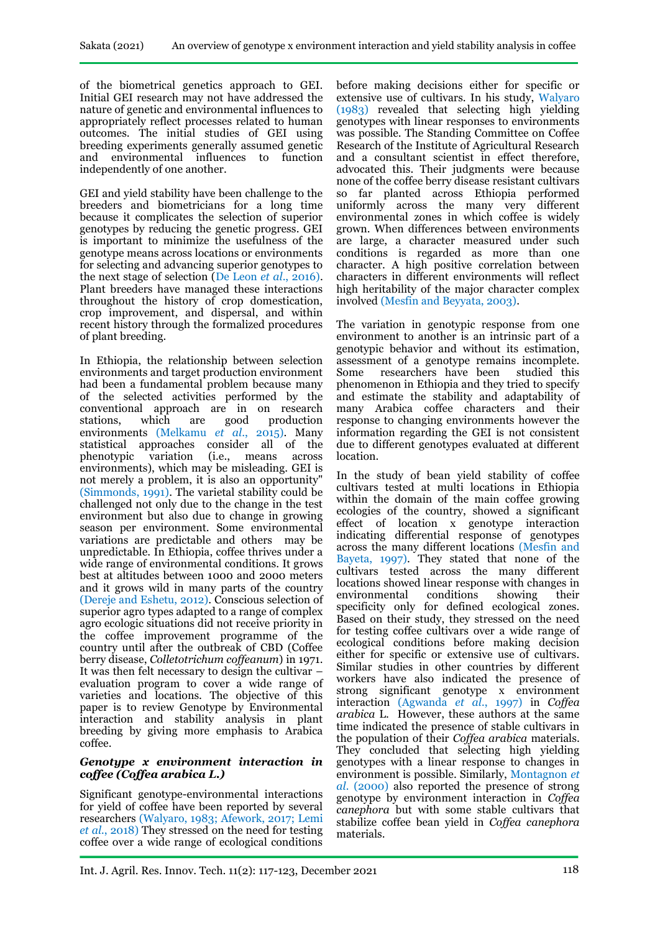of the biometrical genetics approach to GEI. Initial GEI research may not have addressed the nature of genetic and environmental influences to appropriately reflect processes related to human outcomes. The initial studies of GEI using breeding experiments generally assumed genetic and environmental influences to function independently of one another.

GEI and yield stability have been challenge to the breeders and biometricians for a long time because it complicates the selection of superior genotypes by reducing the genetic progress. GEI is important to minimize the usefulness of the genotype means across locations or environments for selecting and advancing superior genotypes to the next stage of selection (De Leon *et al*., 2016). Plant breeders have managed these interactions throughout the history of crop domestication, crop improvement, and dispersal, and within recent history through the formalized procedures of plant breeding.

In Ethiopia, the relationship between selection environments and target production environment had been a fundamental problem because many of the selected activities performed by the conventional approach are in on research stations, which are good production environments (Melkamu *et al*., 2015). Many statistical approaches consider all of the phenotypic variation (i.e., means across environments), which may be misleading. GEI is not merely a problem, it is also an opportunity" (Simmonds, 1991). The varietal stability could be challenged not only due to the change in the test environment but also due to change in growing season per environment. Some environmental variations are predictable and others may be unpredictable. In Ethiopia, coffee thrives under a wide range of environmental conditions. It grows best at altitudes between 1000 and 2000 meters and it grows wild in many parts of the country (Dereje and Eshetu, 2012). Conscious selection of superior agro types adapted to a range of complex agro ecologic situations did not receive priority in the coffee improvement programme of the country until after the outbreak of CBD (Coffee berry disease, *Colletotrichum coffeanum*) in 1971. It was then felt necessary to design the cultivar – evaluation program to cover a wide range of varieties and locations. The objective of this paper is to review Genotype by Environmental interaction and stability analysis in plant breeding by giving more emphasis to Arabica coffee.

#### *Genotype x environment interaction in coffee (Coffea arabica L.)*

Significant genotype-environmental interactions for yield of coffee have been reported by several researchers (Walyaro, 1983; Afework, 2017; Lemi *et al.*, 2018) They stressed on the need for testing coffee over a wide range of ecological conditions

before making decisions either for specific or extensive use of cultivars. In his study, Walyaro (1983) revealed that selecting high yielding genotypes with linear responses to environments was possible. The Standing Committee on Coffee Research of the Institute of Agricultural Research and a consultant scientist in effect therefore, advocated this. Their judgments were because none of the coffee berry disease resistant cultivars so far planted across Ethiopia performed uniformly across the many very different environmental zones in which coffee is widely grown. When differences between environments are large, a character measured under such conditions is regarded as more than one character. A high positive correlation between characters in different environments will reflect high heritability of the major character complex involved (Mesfin and Beyyata, 2003).

The variation in genotypic response from one environment to another is an intrinsic part of a genotypic behavior and without its estimation, assessment of a genotype remains incomplete. Some researchers have been studied this phenomenon in Ethiopia and they tried to specify and estimate the stability and adaptability of many Arabica coffee characters and their response to changing environments however the information regarding the GEI is not consistent due to different genotypes evaluated at different location.

In the study of bean yield stability of coffee cultivars tested at multi locations in Ethiopia within the domain of the main coffee growing ecologies of the country, showed a significant effect of location x genotype interaction indicating differential response of genotypes across the many different locations (Mesfin and Bayeta, 1997). They stated that none of the cultivars tested across the many different locations showed linear response with changes in environmental conditions showing their specificity only for defined ecological zones. Based on their study, they stressed on the need for testing coffee cultivars over a wide range of ecological conditions before making decision either for specific or extensive use of cultivars. Similar studies in other countries by different workers have also indicated the presence of strong significant genotype x environment interaction (Agwanda *et al.*, 1997) in *Coffea arabica* L. However, these authors at the same time indicated the presence of stable cultivars in the population of their *Coffea arabica* materials. They concluded that selecting high yielding genotypes with a linear response to changes in environment is possible. Similarly, Montagnon *et al.* (2000) also reported the presence of strong genotype by environment interaction in *Coffea canephora* but with some stable cultivars that stabilize coffee bean yield in *Coffea canephora*  materials.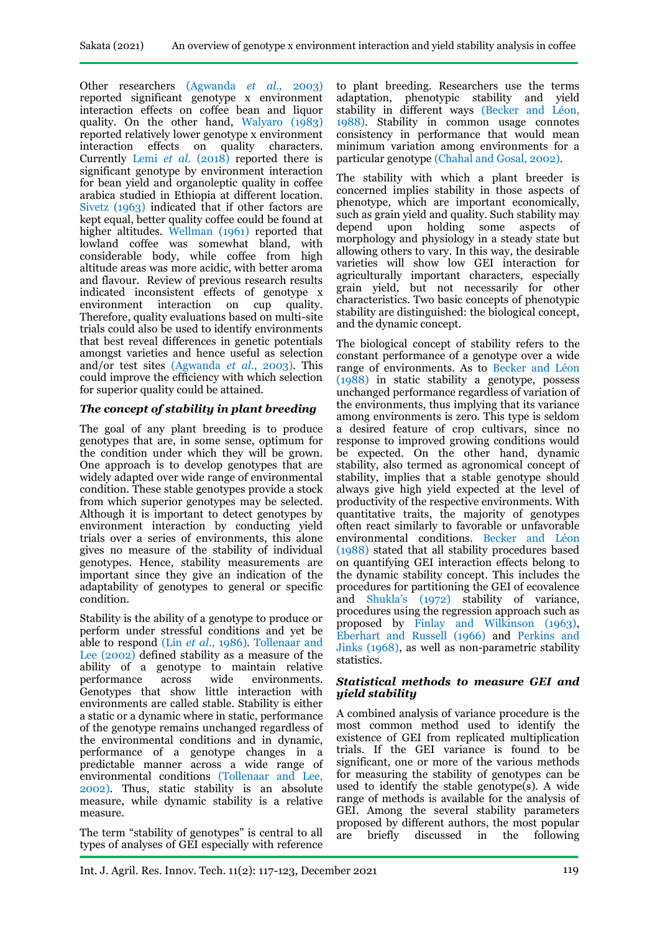Other researchers (Agwanda *et al.,* 2003) reported significant genotype x environment interaction effects on coffee bean and liquor quality. On the other hand, Walyaro (1983) reported relatively lower genotype x environment interaction effects on quality characters. Currently Lemi *et al.* (2018) reported there is significant genotype by environment interaction for bean yield and organoleptic quality in coffee arabica studied in Ethiopia at different location. Sivetz (1963) indicated that if other factors are kept equal, better quality coffee could be found at higher altitudes. Wellman (1961) reported that lowland coffee was somewhat bland, with considerable body, while coffee from high altitude areas was more acidic, with better aroma and flavour. Review of previous research results indicated inconsistent effects of genotype x environment interaction on cup quality. Therefore, quality evaluations based on multi-site trials could also be used to identify environments that best reveal differences in genetic potentials amongst varieties and hence useful as selection and/or test sites (Agwanda *et al*., 2003). This could improve the efficiency with which selection for superior quality could be attained.

### *The concept of stability in plant breeding*

The goal of any plant breeding is to produce genotypes that are, in some sense, optimum for the condition under which they will be grown. One approach is to develop genotypes that are widely adapted over wide range of environmental condition. These stable genotypes provide a stock from which superior genotypes may be selected. Although it is important to detect genotypes by environment interaction by conducting yield trials over a series of environments, this alone gives no measure of the stability of individual genotypes. Hence, stability measurements are important since they give an indication of the adaptability of genotypes to general or specific condition.

Stability is the ability of a genotype to produce or perform under stressful conditions and yet be able to respond (Lin *et al*., 1986). Tollenaar and Lee (2002) defined stability as a measure of the ability of a genotype to maintain relative performance across wide environments. Genotypes that show little interaction with environments are called stable. Stability is either a static or a dynamic where in static, performance of the genotype remains unchanged regardless of the environmental conditions and in dynamic, performance of a genotype changes in a predictable manner across a wide range of environmental conditions (Tollenaar and Lee, 2002). Thus, static stability is an absolute measure, while dynamic stability is a relative measure.

The term "stability of genotypes" is central to all types of analyses of GEI especially with reference

to plant breeding. Researchers use the terms adaptation, phenotypic stability and yield stability in different ways (Becker and Léon, 1988). Stability in common usage connotes consistency in performance that would mean minimum variation among environments for a particular genotype (Chahal and Gosal, 2002).

The stability with which a plant breeder is concerned implies stability in those aspects of phenotype, which are important economically, such as grain yield and quality. Such stability may depend upon holding some aspects of upon holding some aspects of morphology and physiology in a steady state but allowing others to vary. In this way, the desirable varieties will show low GEI interaction for agriculturally important characters, especially grain yield, but not necessarily for other characteristics. Two basic concepts of phenotypic stability are distinguished: the biological concept, and the dynamic concept.

The biological concept of stability refers to the constant performance of a genotype over a wide range of environments. As to Becker and Léon (1988) in static stability a genotype, possess unchanged performance regardless of variation of the environments, thus implying that its variance among environments is zero. This type is seldom a desired feature of crop cultivars, since no response to improved growing conditions would be expected. On the other hand, dynamic stability, also termed as agronomical concept of stability, implies that a stable genotype should always give high yield expected at the level of productivity of the respective environments. With quantitative traits, the majority of genotypes often react similarly to favorable or unfavorable environmental conditions. Becker and Léon (1988) stated that all stability procedures based on quantifying GEI interaction effects belong to the dynamic stability concept. This includes the procedures for partitioning the GEI of ecovalence and Shukla's (1972) stability of variance, procedures using the regression approach such as proposed by Finlay and Wilkinson (1963), Eberhart and Russell (1966) and Perkins and Jinks (1968), as well as non-parametric stability statistics.

#### *Statistical methods to measure GEI and yield stability*

A combined analysis of variance procedure is the most common method used to identify the existence of GEI from replicated multiplication trials. If the GEI variance is found to be significant, one or more of the various methods for measuring the stability of genotypes can be used to identify the stable genotype(s). A wide range of methods is available for the analysis of GEI. Among the several stability parameters proposed by different authors, the most popular are briefly discussed in the following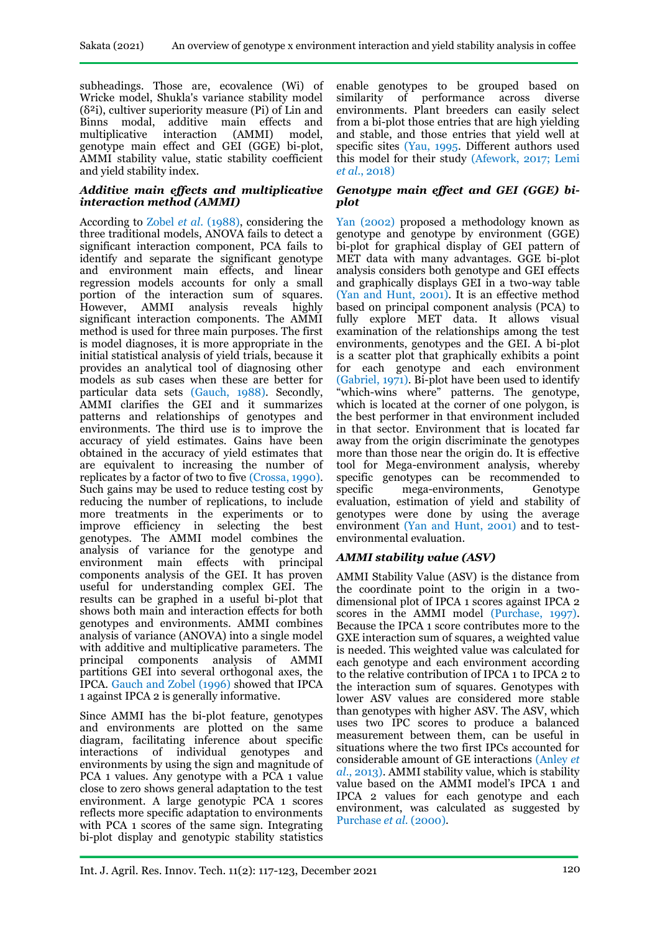subheadings. Those are, ecovalence (Wi) of Wricke model, Shukla's variance stability model  $(\delta^2 i)$ , cultiver superiority measure (Pi) of Lin and Binns modal, additive main effects and multiplicative interaction (AMMI) model, genotype main effect and GEI (GGE) bi-plot, AMMI stability value, static stability coefficient and yield stability index.

#### *Additive main effects and multiplicative interaction method (AMMI)*

According to Zobel *et al*. (1988), considering the three traditional models, ANOVA fails to detect a significant interaction component, PCA fails to identify and separate the significant genotype and environment main effects, and linear regression models accounts for only a small portion of the interaction sum of squares. However, AMMI analysis reveals highly significant interaction components. The AMMI method is used for three main purposes. The first is model diagnoses, it is more appropriate in the initial statistical analysis of yield trials, because it provides an analytical tool of diagnosing other models as sub cases when these are better for particular data sets (Gauch, 1988). Secondly, AMMI clarifies the GEI and it summarizes patterns and relationships of genotypes and environments. The third use is to improve the accuracy of yield estimates. Gains have been obtained in the accuracy of yield estimates that are equivalent to increasing the number of replicates by a factor of two to five (Crossa, 1990). Such gains may be used to reduce testing cost by reducing the number of replications, to include more treatments in the experiments or to improve efficiency in selecting the best genotypes. The AMMI model combines the analysis of variance for the genotype and environment main effects with principal components analysis of the GEI. It has proven useful for understanding complex GEI. The results can be graphed in a useful bi-plot that shows both main and interaction effects for both genotypes and environments. AMMI combines analysis of variance (ANOVA) into a single model with additive and multiplicative parameters. The principal components analysis of AMMI partitions GEI into several orthogonal axes, the IPCA. Gauch and Zobel (1996) showed that IPCA 1 against IPCA 2 is generally informative.

Since AMMI has the bi-plot feature, genotypes and environments are plotted on the same diagram, facilitating inference about specific interactions of individual genotypes and environments by using the sign and magnitude of PCA 1 values. Any genotype with a PCA 1 value close to zero shows general adaptation to the test environment. A large genotypic PCA 1 scores reflects more specific adaptation to environments with PCA 1 scores of the same sign. Integrating bi-plot display and genotypic stability statistics enable genotypes to be grouped based on similarity of performance across diverse environments. Plant breeders can easily select from a bi-plot those entries that are high yielding and stable, and those entries that yield well at specific sites (Yau, 1995. Different authors used this model for their study (Afework, 2017; Lemi *et al.*, 2018)

#### *Genotype main effect and GEI (GGE) biplot*

Yan (2002) proposed a methodology known as genotype and genotype by environment (GGE) bi-plot for graphical display of GEI pattern of MET data with many advantages. GGE bi-plot analysis considers both genotype and GEI effects and graphically displays GEI in a two-way table (Yan and Hunt, 2001). It is an effective method based on principal component analysis (PCA) to fully explore MET data. It allows visual examination of the relationships among the test environments, genotypes and the GEI. A bi-plot is a scatter plot that graphically exhibits a point for each genotype and each environment (Gabriel, 1971). Bi-plot have been used to identify "which-wins where" patterns. The genotype, which is located at the corner of one polygon, is the best performer in that environment included in that sector. Environment that is located far away from the origin discriminate the genotypes more than those near the origin do. It is effective tool for Mega-environment analysis, whereby specific genotypes can be recommended to specific mega-environments, Genotype evaluation, estimation of yield and stability of genotypes were done by using the average environment (Yan and Hunt, 2001) and to testenvironmental evaluation.

### *AMMI stability value (ASV)*

AMMI Stability Value (ASV) is the distance from the coordinate point to the origin in a twodimensional plot of IPCA 1 scores against IPCA 2 scores in the AMMI model (Purchase, 1997). Because the IPCA 1 score contributes more to the GXE interaction sum of squares, a weighted value is needed. This weighted value was calculated for each genotype and each environment according to the relative contribution of IPCA 1 to IPCA 2 to the interaction sum of squares. Genotypes with lower ASV values are considered more stable than genotypes with higher ASV. The ASV, which uses two IPC scores to produce a balanced measurement between them, can be useful in situations where the two first IPCs accounted for considerable amount of GE interactions (Anley *et al*., 2013). AMMI stability value, which is stability value based on the AMMI model's IPCA 1 and IPCA 2 values for each genotype and each environment, was calculated as suggested by Purchase *et al*. (2000).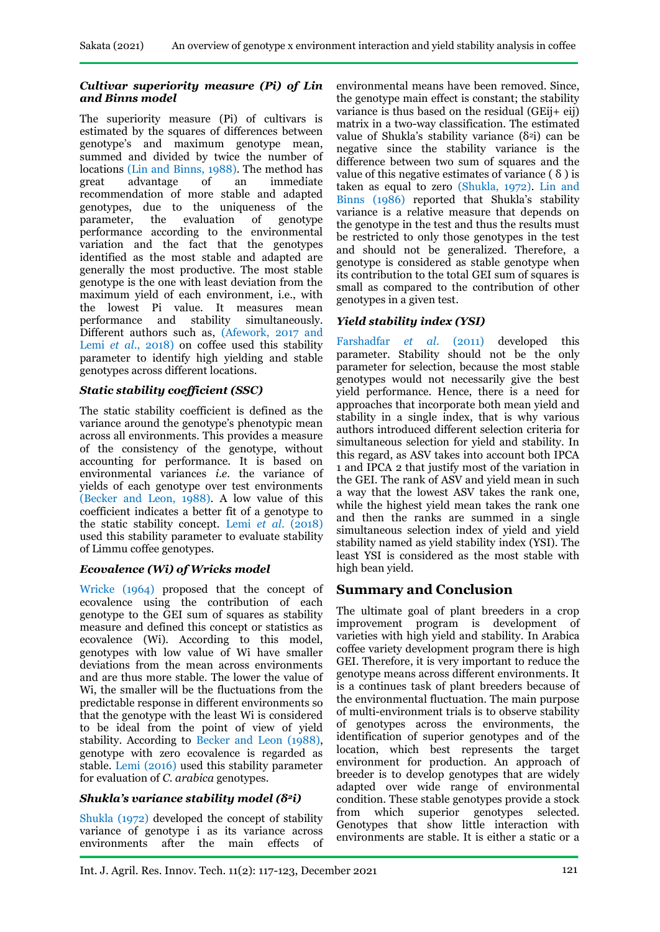### *Cultivar superiority measure (Pi) of Lin and Binns model*

The superiority measure (Pi) of cultivars is estimated by the squares of differences between genotype's and maximum genotype mean, summed and divided by twice the number of locations (Lin and Binns, 1988). The method has great advantage of an immediate recommendation of more stable and adapted genotypes, due to the uniqueness of the parameter, the evaluation of genotype performance according to the environmental variation and the fact that the genotypes identified as the most stable and adapted are generally the most productive. The most stable genotype is the one with least deviation from the maximum yield of each environment, i.e., with the lowest Pi value. It measures mean<br>performance and stability simultaneously. performance and Different authors such as, (Afework, 2017 and Lemi *et al*., 2018) on coffee used this stability parameter to identify high yielding and stable genotypes across different locations.

## *Static stability coefficient (SSC)*

The static stability coefficient is defined as the variance around the genotype's phenotypic mean across all environments. This provides a measure of the consistency of the genotype, without accounting for performance. It is based on environmental variances *i.e*. the variance of yields of each genotype over test environments (Becker and Leon, 1988). A low value of this coefficient indicates a better fit of a genotype to the static stability concept. Lemi *et al*. (2018) used this stability parameter to evaluate stability of Limmu coffee genotypes.

## *Ecovalence (Wi) of Wricks model*

Wricke (1964) proposed that the concept of ecovalence using the contribution of each genotype to the GEI sum of squares as stability measure and defined this concept or statistics as ecovalence (Wi). According to this model, genotypes with low value of Wi have smaller deviations from the mean across environments and are thus more stable. The lower the value of Wi, the smaller will be the fluctuations from the predictable response in different environments so that the genotype with the least Wi is considered to be ideal from the point of view of yield stability. According to Becker and Leon (1988), genotype with zero ecovalence is regarded as stable. Lemi (2016) used this stability parameter for evaluation of *C. arabica* genotypes.

## *Shukla's variance stability model (δ2i)*

Shukla (1972) developed the concept of stability variance of genotype i as its variance across<br>environments after the main effects of environments after the main effects of environmental means have been removed. Since, the genotype main effect is constant; the stability variance is thus based on the residual (GEij+ eij) matrix in a two-way classification. The estimated value of Shukla's stability variance  $(\delta^2 i)$  can be negative since the stability variance is the difference between two sum of squares and the value of this negative estimates of variance  $( \delta )$  is taken as equal to zero (Shukla, 1972). Lin and Binns (1986) reported that Shukla's stability variance is a relative measure that depends on the genotype in the test and thus the results must be restricted to only those genotypes in the test and should not be generalized. Therefore, a genotype is considered as stable genotype when its contribution to the total GEI sum of squares is small as compared to the contribution of other genotypes in a given test.

## *Yield stability index (YSI)*

Farshadfar *et al*. (2011) developed this parameter. Stability should not be the only parameter for selection, because the most stable genotypes would not necessarily give the best yield performance. Hence, there is a need for approaches that incorporate both mean yield and stability in a single index, that is why various authors introduced different selection criteria for simultaneous selection for yield and stability. In this regard, as ASV takes into account both IPCA 1 and IPCA 2 that justify most of the variation in the GEI. The rank of ASV and yield mean in such a way that the lowest ASV takes the rank one, while the highest yield mean takes the rank one and then the ranks are summed in a single simultaneous selection index of yield and yield stability named as yield stability index (YSI). The least YSI is considered as the most stable with high bean yield.

# **Summary and Conclusion**

The ultimate goal of plant breeders in a crop improvement program is development of varieties with high yield and stability. In Arabica coffee variety development program there is high GEI. Therefore, it is very important to reduce the genotype means across different environments. It is a continues task of plant breeders because of the environmental fluctuation. The main purpose of multi-environment trials is to observe stability of genotypes across the environments, the identification of superior genotypes and of the location, which best represents the target environment for production. An approach of breeder is to develop genotypes that are widely adapted over wide range of environmental condition. These stable genotypes provide a stock from which superior genotypes selected. Genotypes that show little interaction with environments are stable. It is either a static or a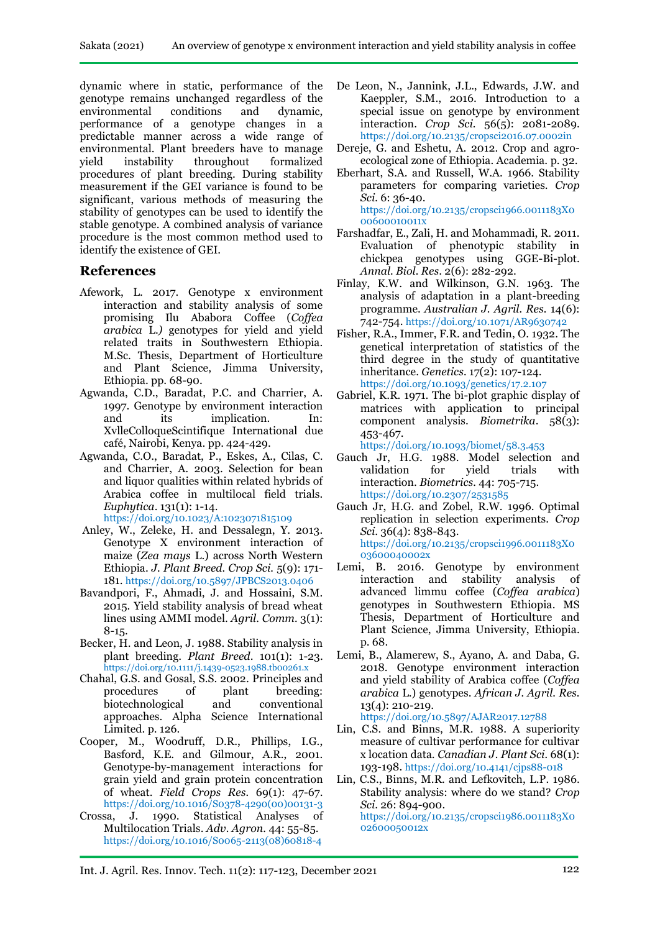dynamic where in static, performance of the genotype remains unchanged regardless of the environmental conditions and dynamic, performance of a genotype changes in a predictable manner across a wide range of environmental. Plant breeders have to manage yield instability throughout formalized procedures of plant breeding. During stability measurement if the GEI variance is found to be significant, various methods of measuring the stability of genotypes can be used to identify the stable genotype. A combined analysis of variance procedure is the most common method used to identify the existence of GEI.

### **References**

- Afework, L. 2017. Genotype x environment interaction and stability analysis of some promising Ilu Ababora Coffee (*Coffea arabica* L.*)* genotypes for yield and yield related traits in Southwestern Ethiopia. M.Sc. Thesis, Department of Horticulture and Plant Science, Jimma University, Ethiopia. pp. 68-90.
- Agwanda, C.D., Baradat, P.C. and Charrier, A. 1997. Genotype by environment interaction and its implication. In: XvlleColloqueScintifique International due café, Nairobi, Kenya. pp. 424-429.
- Agwanda, C.O., Baradat, P., Eskes, A., Cilas, C. and Charrier, A. 2003. Selection for bean and liquor qualities within related hybrids of Arabica coffee in multilocal field trials. *Euphytica*. 131(1): 1-14. <https://doi.org/10.1023/A:1023071815109>
- Anley, W., Zeleke, H. and Dessalegn, Y. 2013. Genotype X environment interaction of
- maize (*Zea mays* L.) across North Western Ethiopia. *J. Plant Breed. Crop Sci.* 5(9): 171- 181. <https://doi.org/10.5897/JPBCS2013.0406>
- Bavandpori, F., Ahmadi, J. and Hossaini, S.M. 2015. Yield stability analysis of bread wheat lines using AMMI model. *Agril. Comm.* 3(1): 8-15.
- Becker, H. and Leon, J. 1988. Stability analysis in plant breeding. *Plant Breed*. 101(1): 1-23. <https://doi.org/10.1111/j.1439-0523.1988.tb00261.x>
- Chahal, G.S. and Gosal, S.S. 2002. Principles and procedures of plant breeding: biotechnological and conventional approaches. Alpha Science International Limited. p. 126.
- Cooper, M., Woodruff, D.R., Phillips, I.G., Basford, K.E. and Gilmour, A.R., 2001. Genotype-by-management interactions for grain yield and grain protein concentration of wheat. *Field Crops Res.* 69(1): 47-67. [https://doi.org/10.1016/S0378-4290\(00\)00131-3](https://doi.org/10.1016/S0378-4290(00)00131-3)
- Crossa, J. 1990. Statistical Analyses of Multilocation Trials. *Adv. Agron.* 44: 55-85. [https://doi.org/10.1016/S0065-2113\(08\)60818-4](https://doi.org/10.1016/S0065-2113(08)60818-4)
- De Leon, N., Jannink, J.L., Edwards, J.W. and Kaeppler, S.M., 2016. Introduction to a special issue on genotype by environment interaction. *Crop Sci.* 56(5): 2081-2089. <https://doi.org/10.2135/cropsci2016.07.0002in>
- Dereje, G. and Eshetu, A. 2012. Crop and agroecological zone of Ethiopia. Academia. p. 32.
- Eberhart, S.A. and Russell, W.A. 1966. Stability parameters for comparing varieties. *Crop Sci.* 6: 36-40. [https://doi.org/10.2135/cropsci1966.0011183X0](https://doi.org/10.2135/cropsci1966.0011183X000600010011x) [00600010011x](https://doi.org/10.2135/cropsci1966.0011183X000600010011x)
- Farshadfar, E., Zali, H. and Mohammadi, R. 2011. Evaluation of phenotypic stability in chickpea genotypes using GGE-Bi-plot. *Annal. Biol. Res*. 2(6): 282-292.
- Finlay, K.W. and Wilkinson, G.N. 1963. The analysis of adaptation in a plant-breeding programme. *Australian J. Agril. Res.* 14(6): 742-754. <https://doi.org/10.1071/AR9630742>
- Fisher, R.A., Immer, F.R. and Tedin, O. 1932. The genetical interpretation of statistics of the third degree in the study of quantitative inheritance. *Genetics.* 17(2): 107-124. <https://doi.org/10.1093/genetics/17.2.107>
- Gabriel, K.R. 1971. The bi-plot graphic display of matrices with application to principal component analysis. *Biometrika*. 58(3): 453-467.

<https://doi.org/10.1093/biomet/58.3.453>

- Gauch Jr, H.G. 1988. Model selection and validation for yield trials with interaction. *Biometrics.* 44: 705-715. <https://doi.org/10.2307/2531585>
- Gauch Jr, H.G. and Zobel, R.W. 1996. Optimal replication in selection experiments. *Crop Sci*. 36(4): 838-843. [https://doi.org/10.2135/cropsci1996.0011183X0](https://doi.org/10.2135/cropsci1996.0011183X003600040002x) [03600040002x](https://doi.org/10.2135/cropsci1996.0011183X003600040002x)
- Lemi, B. 2016. Genotype by environment interaction and stability analysis of advanced limmu coffee (*Coffea arabica*) genotypes in Southwestern Ethiopia. MS Thesis, Department of Horticulture and Plant Science, Jimma University, Ethiopia. p. 68.
- Lemi, B., Alamerew, S., Ayano, A. and Daba, G. 2018. Genotype environment interaction and yield stability of Arabica coffee (*Coffea arabica* L.) genotypes. *African J. Agril. Res.* 13(4): 210-219. <https://doi.org/10.5897/AJAR2017.12788>
- Lin, C.S. and Binns, M.R. 1988. A superiority measure of cultivar performance for cultivar x location data. *Canadian J. Plant Sci.* 68(1): 193-198. <https://doi.org/10.4141/cjps88-018>
- Lin, C.S., Binns, M.R. and Lefkovitch, L.P. 1986. Stability analysis: where do we stand? *Crop Sci*. 26: 894-900. [https://doi.org/10.2135/cropsci1986.0011183X0](https://doi.org/10.2135/cropsci1986.0011183X002600050012x) [02600050012x](https://doi.org/10.2135/cropsci1986.0011183X002600050012x)